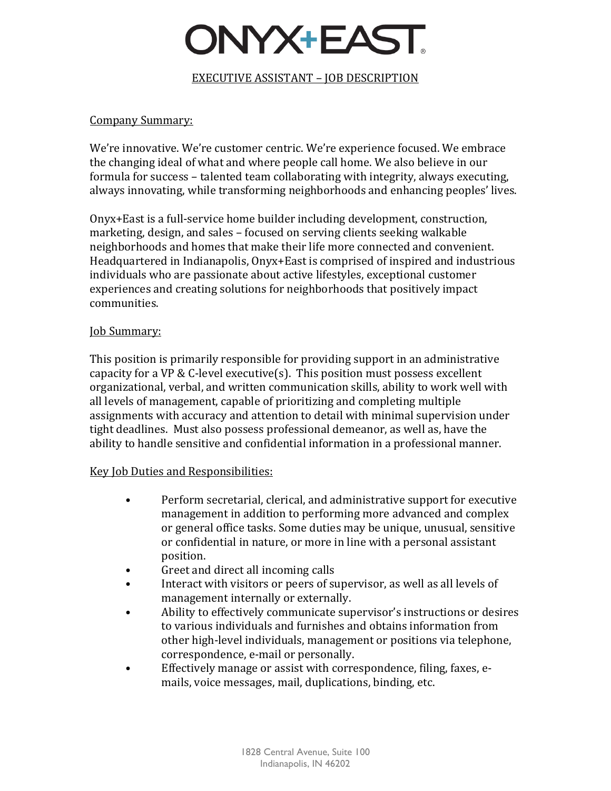# DNYX+EAST.

### EXECUTIVE ASSISTANT – JOB DESCRIPTION

#### Company Summary:

We're innovative. We're customer centric. We're experience focused. We embrace the changing ideal of what and where people call home. We also believe in our formula for success – talented team collaborating with integrity, always executing, always innovating, while transforming neighborhoods and enhancing peoples' lives.

Onyx+East is a full-service home builder including development, construction, marketing, design, and sales – focused on serving clients seeking walkable neighborhoods and homes that make their life more connected and convenient. Headquartered in Indianapolis, Onyx+East is comprised of inspired and industrious individuals who are passionate about active lifestyles, exceptional customer experiences and creating solutions for neighborhoods that positively impact communities.

#### Job Summary:

This position is primarily responsible for providing support in an administrative capacity for a VP & C-level executive(s). This position must possess excellent organizational, verbal, and written communication skills, ability to work well with all levels of management, capable of prioritizing and completing multiple assignments with accuracy and attention to detail with minimal supervision under tight deadlines. Must also possess professional demeanor, as well as, have the ability to handle sensitive and confidential information in a professional manner.

#### Key Job Duties and Responsibilities:

- Perform secretarial, clerical, and administrative support for executive management in addition to performing more advanced and complex or general office tasks. Some duties may be unique, unusual, sensitive or confidential in nature, or more in line with a personal assistant position.
- Greet and direct all incoming calls
- Interact with visitors or peers of supervisor, as well as all levels of management internally or externally.
- Ability to effectively communicate supervisor's instructions or desires to various individuals and furnishes and obtains information from other high-level individuals, management or positions via telephone, correspondence, e-mail or personally.
- Effectively manage or assist with correspondence, filing, faxes, emails, voice messages, mail, duplications, binding, etc.